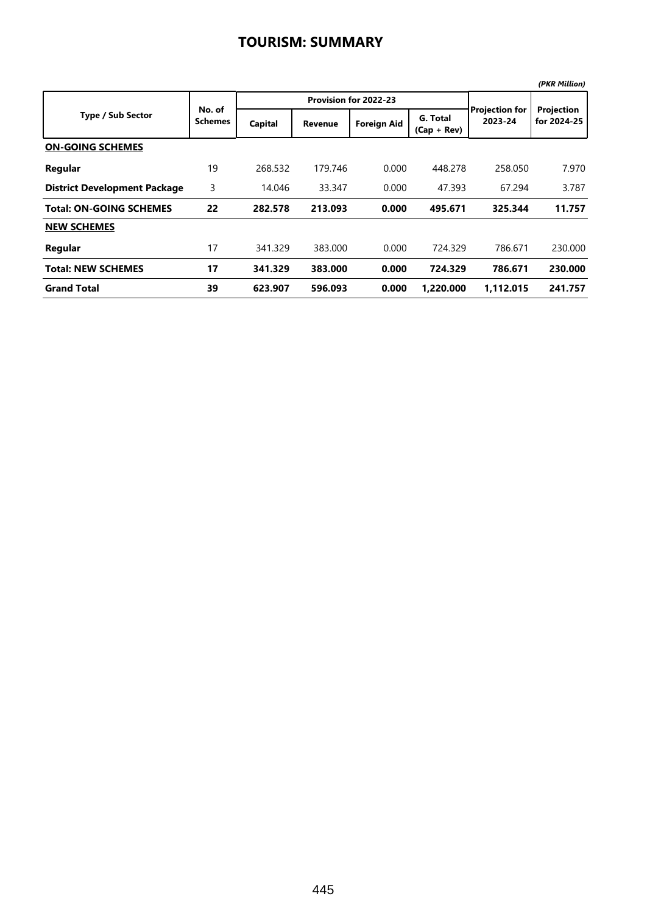|                                     |                          |         |                       |                    |                           |                           | (PKR Million)             |
|-------------------------------------|--------------------------|---------|-----------------------|--------------------|---------------------------|---------------------------|---------------------------|
|                                     |                          |         | Provision for 2022-23 |                    |                           |                           |                           |
| <b>Type / Sub Sector</b>            | No. of<br><b>Schemes</b> | Capital | <b>Revenue</b>        | <b>Foreign Aid</b> | G. Total<br>$(Cap + Rev)$ | Projection for<br>2023-24 | Projection<br>for 2024-25 |
| <b>ON-GOING SCHEMES</b>             |                          |         |                       |                    |                           |                           |                           |
| Regular                             | 19                       | 268.532 | 179.746               | 0.000              | 448.278                   | 258.050                   | 7.970                     |
| <b>District Development Package</b> | 3                        | 14.046  | 33.347                | 0.000              | 47.393                    | 67.294                    | 3.787                     |
| <b>Total: ON-GOING SCHEMES</b>      | 22                       | 282.578 | 213.093               | 0.000              | 495.671                   | 325.344                   | 11.757                    |
| <b>NEW SCHEMES</b>                  |                          |         |                       |                    |                           |                           |                           |
| Regular                             | 17                       | 341.329 | 383.000               | 0.000              | 724.329                   | 786.671                   | 230.000                   |
| <b>Total: NEW SCHEMES</b>           | 17                       | 341.329 | 383.000               | 0.000              | 724.329                   | 786.671                   | 230.000                   |
| <b>Grand Total</b>                  | 39                       | 623.907 | 596.093               | 0.000              | 1.220.000                 | 1,112.015                 | 241.757                   |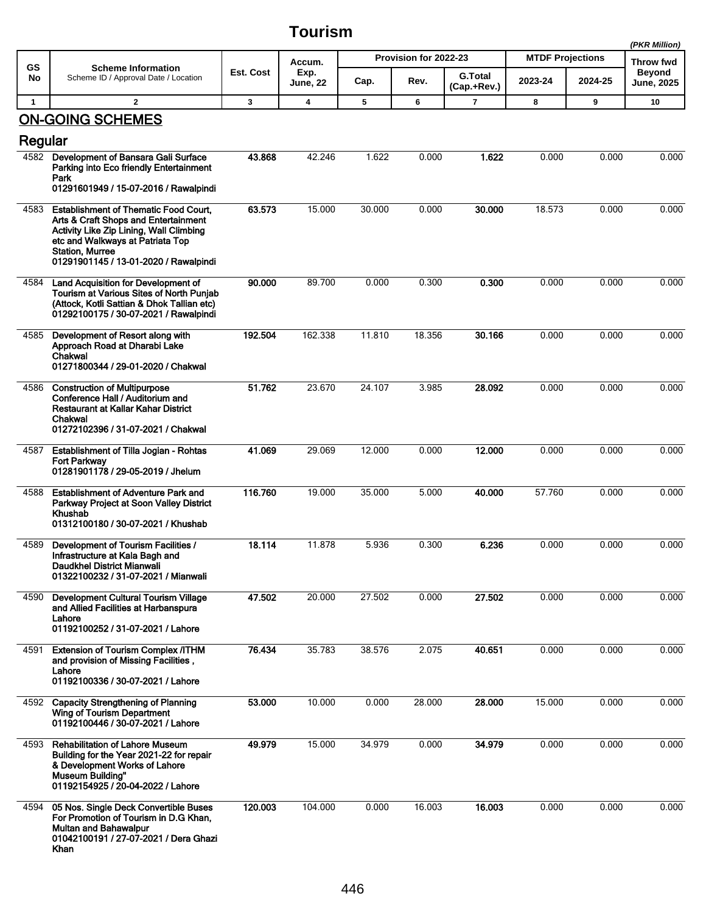**(PKR Million)**

|              |                                                                                                                                                                                                                                        |           | Accum.                  | Provision for 2022-23 |        |                               | <b>MTDF Projections</b> | (PKR Million)<br>Throw fwd |                             |
|--------------|----------------------------------------------------------------------------------------------------------------------------------------------------------------------------------------------------------------------------------------|-----------|-------------------------|-----------------------|--------|-------------------------------|-------------------------|----------------------------|-----------------------------|
| GS<br>No     | <b>Scheme Information</b><br>Scheme ID / Approval Date / Location                                                                                                                                                                      | Est. Cost | Exp.<br><b>June, 22</b> | Cap.                  | Rev.   | <b>G.Total</b><br>(Cap.+Rev.) | 2023-24                 | 2024-25                    | Beyond<br><b>June, 2025</b> |
| $\mathbf{1}$ | $\overline{\mathbf{2}}$                                                                                                                                                                                                                | 3         | $\boldsymbol{4}$        | 5                     | 6      | 7                             | 8                       | 9                          | 10                          |
| Regular      | <b>ON-GOING SCHEMES</b>                                                                                                                                                                                                                |           |                         |                       |        |                               |                         |                            |                             |
| 4582         | Development of Bansara Gali Surface<br>Parking into Eco friendly Entertainment<br>Park<br>01291601949 / 15-07-2016 / Rawalpindi                                                                                                        | 43.868    | 42.246                  | 1.622                 | 0.000  | 1.622                         | 0.000                   | 0.000                      | 0.000                       |
| 4583         | <b>Establishment of Thematic Food Court,</b><br>Arts & Craft Shops and Entertainment<br>Activity Like Zip Lining, Wall Climbing<br>etc and Walkways at Patriata Top<br><b>Station, Murree</b><br>01291901145 / 13-01-2020 / Rawalpindi | 63.573    | 15.000                  | 30.000                | 0.000  | 30,000                        | 18.573                  | 0.000                      | 0.000                       |
| 4584         | Land Acquisition for Development of<br>Tourism at Various Sites of North Punjab<br>(Attock, Kotli Sattian & Dhok Tallian etc)<br>01292100175 / 30-07-2021 / Rawalpindi                                                                 | 90.000    | 89.700                  | 0.000                 | 0.300  | 0.300                         | 0.000                   | 0.000                      | 0.000                       |
| 4585         | Development of Resort along with<br>Approach Road at Dharabi Lake<br>Chakwal<br>01271800344 / 29-01-2020 / Chakwal                                                                                                                     | 192.504   | 162.338                 | 11.810                | 18.356 | 30.166                        | 0.000                   | 0.000                      | 0.000                       |
| 4586         | <b>Construction of Multipurpose</b><br>Conference Hall / Auditorium and<br>Restaurant at Kallar Kahar District<br>Chakwal<br>01272102396 / 31-07-2021 / Chakwal                                                                        | 51.762    | 23.670                  | 24.107                | 3.985  | 28.092                        | 0.000                   | 0.000                      | 0.000                       |
| 4587         | <b>Establishment of Tilla Jogian - Rohtas</b><br><b>Fort Parkway</b><br>01281901178 / 29-05-2019 / Jhelum                                                                                                                              | 41.069    | 29.069                  | 12.000                | 0.000  | 12.000                        | 0.000                   | 0.000                      | 0.000                       |
| 4588         | <b>Establishment of Adventure Park and</b><br>Parkway Project at Soon Valley District<br><b>Khushab</b><br>01312100180 / 30-07-2021 / Khushab                                                                                          | 116.760   | 19.000                  | 35.000                | 5.000  | 40.000                        | 57.760                  | 0.000                      | 0.000                       |
| 4589         | Development of Tourism Facilities /<br>Infrastructure at Kala Bagh and<br>Daudkhel District Mianwali<br>01322100232 / 31-07-2021 / Mianwali                                                                                            | 18.114    | 11.878                  | 5.936                 | 0.300  | 6.236                         | 0.000                   | 0.000                      | 0.000                       |
| 4590         | Development Cultural Tourism Village<br>and Allied Facilities at Harbanspura<br>Lahore<br>01192100252 / 31-07-2021 / Lahore                                                                                                            | 47.502    | 20.000                  | 27.502                | 0.000  | 27.502                        | 0.000                   | 0.000                      | 0.000                       |
| 4591         | <b>Extension of Tourism Complex /ITHM</b><br>and provision of Missing Facilities,<br>Lahore<br>01192100336 / 30-07-2021 / Lahore                                                                                                       | 76.434    | 35.783                  | 38.576                | 2.075  | 40.651                        | 0.000                   | 0.000                      | 0.000                       |
|              | 4592 Capacity Strengthening of Planning<br><b>Wing of Tourism Department</b><br>01192100446 / 30-07-2021 / Lahore                                                                                                                      | 53.000    | 10.000                  | 0.000                 | 28.000 | 28.000                        | 15.000                  | 0.000                      | 0.000                       |
| 4593         | <b>Rehabilitation of Lahore Museum</b><br>Building for the Year 2021-22 for repair<br>& Development Works of Lahore<br><b>Museum Building"</b><br>01192154925 / 20-04-2022 / Lahore                                                    | 49.979    | 15.000                  | 34.979                | 0.000  | 34.979                        | 0.000                   | 0.000                      | 0.000                       |
| 4594         | 05 Nos. Single Deck Convertible Buses<br>For Promotion of Tourism in D.G Khan,<br>Multan and Bahawalpur<br>01042100191 / 27-07-2021 / Dera Ghazi<br>Khan                                                                               | 120.003   | 104.000                 | 0.000                 | 16.003 | 16.003                        | 0.000                   | 0.000                      | 0.000                       |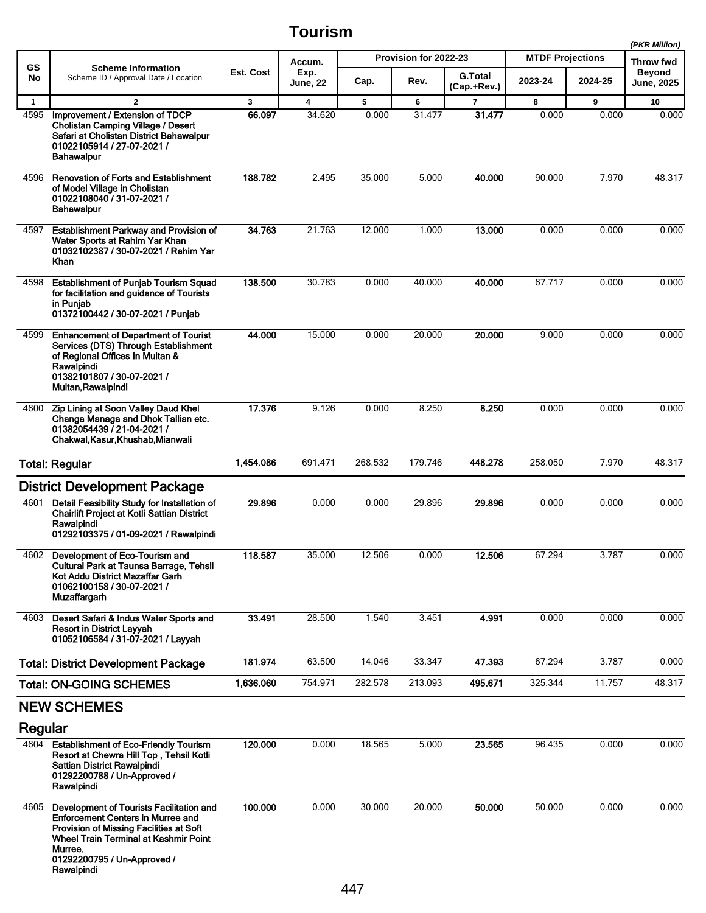|              |                                                                                                                                                                                                                                  |                                              |                         |         |                         |                               |         |         | (PKR Million)                      |  |
|--------------|----------------------------------------------------------------------------------------------------------------------------------------------------------------------------------------------------------------------------------|----------------------------------------------|-------------------------|---------|-------------------------|-------------------------------|---------|---------|------------------------------------|--|
| GS           | <b>Scheme Information</b><br>Scheme ID / Approval Date / Location                                                                                                                                                                | Provision for 2022-23<br>Accum.<br>Est. Cost |                         |         | <b>MTDF Projections</b> |                               |         |         |                                    |  |
| No           |                                                                                                                                                                                                                                  |                                              | Exp.<br>June, 22        | Cap.    | Rev.                    | <b>G.Total</b><br>(Cap.+Rev.) | 2023-24 | 2024-25 | <b>Beyond</b><br><b>June, 2025</b> |  |
| $\mathbf{1}$ | $\mathbf{2}$                                                                                                                                                                                                                     | $\mathbf{3}$                                 | $\overline{\mathbf{4}}$ | 5       | 6                       | $\overline{7}$                | 8       | 9       | 10                                 |  |
| 4595         | Improvement / Extension of TDCP<br>Cholistan Camping Village / Desert<br>Safari at Cholistan District Bahawalpur<br>01022105914 / 27-07-2021 /<br>Bahawalpur                                                                     | 66.097                                       | 34.620                  | 0.000   | 31.477                  | 31.477                        | 0.000   | 0.000   | 0.000                              |  |
| 4596         | <b>Renovation of Forts and Establishment</b><br>of Model Village in Cholistan<br>01022108040 / 31-07-2021 /<br><b>Bahawalpur</b>                                                                                                 | 188.782                                      | 2.495                   | 35.000  | 5.000                   | 40.000                        | 90.000  | 7.970   | 48.317                             |  |
| 4597         | <b>Establishment Parkway and Provision of</b><br>Water Sports at Rahim Yar Khan<br>01032102387 / 30-07-2021 / Rahim Yar<br>Khan                                                                                                  | 34.763                                       | 21.763                  | 12.000  | 1.000                   | 13.000                        | 0.000   | 0.000   | 0.000                              |  |
| 4598         | <b>Establishment of Punjab Tourism Squad</b><br>for facilitation and guidance of Tourists<br>in Punjab<br>01372100442 / 30-07-2021 / Punjab                                                                                      | 138,500                                      | 30.783                  | 0.000   | 40.000                  | 40.000                        | 67.717  | 0.000   | 0.000                              |  |
| 4599         | <b>Enhancement of Department of Tourist</b><br>Services (DTS) Through Establishment<br>of Regional Offices In Multan &<br>Rawalpindi<br>01382101807 / 30-07-2021 /<br>Multan, Rawalpindi                                         | 44.000                                       | 15.000                  | 0.000   | 20.000                  | 20.000                        | 9.000   | 0.000   | 0.000                              |  |
| 4600         | Zip Lining at Soon Valley Daud Khel<br>Changa Managa and Dhok Tallian etc.<br>01382054439 / 21-04-2021 /<br>Chakwal, Kasur, Khushab, Mianwali                                                                                    | 17.376                                       | 9.126                   | 0.000   | 8.250                   | 8.250                         | 0.000   | 0.000   | 0.000                              |  |
|              | <b>Total: Regular</b>                                                                                                                                                                                                            | 1,454.086                                    | 691.471                 | 268.532 | 179.746                 | 448.278                       | 258.050 | 7.970   | 48.317                             |  |
|              | <b>District Development Package</b>                                                                                                                                                                                              |                                              |                         |         |                         |                               |         |         |                                    |  |
| 4601         | Detail Feasibility Study for Installation of<br><b>Chairlift Project at Kotli Sattian District</b><br>Rawalpindi<br>01292103375 / 01-09-2021 / Rawalpindi                                                                        | 29.896                                       | 0.000                   | 0.000   | 29.896                  | 29.896                        | 0.000   | 0.000   | 0.000                              |  |
| 4602         | Development of Eco-Tourism and<br>Cultural Park at Taunsa Barrage, Tehsil<br>Kot Addu District Mazaffar Garh<br>01062100158 / 30-07-2021 /<br><b>Muzaffargarh</b>                                                                | 118.587                                      | 35.000                  | 12.506  | 0.000                   | 12.506                        | 67.294  | 3.787   | 0.000                              |  |
| 4603         | Desert Safari & Indus Water Sports and<br><b>Resort in District Layyah</b><br>01052106584 / 31-07-2021 / Layyah                                                                                                                  | 33.491                                       | 28.500                  | 1.540   | 3.451                   | 4.991                         | 0.000   | 0.000   | 0.000                              |  |
|              | <b>Total: District Development Package</b>                                                                                                                                                                                       | 181.974                                      | 63.500                  | 14.046  | 33.347                  | 47.393                        | 67.294  | 3.787   | 0.000                              |  |
|              | <b>Total: ON-GOING SCHEMES</b>                                                                                                                                                                                                   | 1,636.060                                    | 754.971                 | 282.578 | 213.093                 | 495.671                       | 325.344 | 11.757  | 48.317                             |  |
|              | <b>NEW SCHEMES</b>                                                                                                                                                                                                               |                                              |                         |         |                         |                               |         |         |                                    |  |
| Regular      |                                                                                                                                                                                                                                  |                                              |                         |         |                         |                               |         |         |                                    |  |
| 4604         | <b>Establishment of Eco-Friendly Tourism</b><br>Resort at Chewra Hill Top, Tehsil Kotli<br>Sattian District Rawalpindi<br>01292200788 / Un-Approved /<br>Rawalpindi                                                              | 120.000                                      | 0.000                   | 18.565  | 5.000                   | 23.565                        | 96.435  | 0.000   | 0.000                              |  |
| 4605         | Development of Tourists Facilitation and<br><b>Enforcement Centers in Murree and</b><br>Provision of Missing Facilities at Soft<br>Wheel Train Terminal at Kashmir Point<br>Murree.<br>01292200795 / Un-Approved /<br>Rawalpindi | 100.000                                      | 0.000                   | 30.000  | 20.000                  | 50,000                        | 50.000  | 0.000   | 0.000                              |  |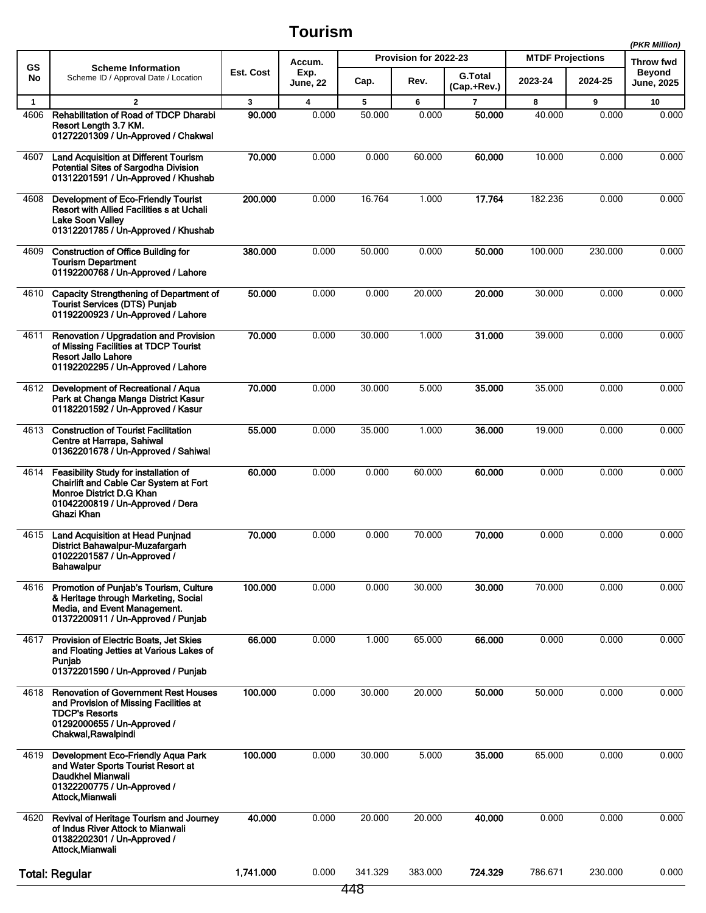|                      | <b>Scheme Information</b><br>Scheme ID / Approval Date / Location                                                                                                    |                        |                            |             |                               |                          |                                    | (PKR Million) |                                                 |
|----------------------|----------------------------------------------------------------------------------------------------------------------------------------------------------------------|------------------------|----------------------------|-------------|-------------------------------|--------------------------|------------------------------------|---------------|-------------------------------------------------|
| GS<br>No             |                                                                                                                                                                      | Est. Cost              | Accum.<br>Exp.<br>June, 22 | Cap.        | Provision for 2022-23<br>Rev. | <b>G.Total</b>           | <b>MTDF Projections</b><br>2023-24 | 2024-25       | Throw fwd<br><b>Beyond</b><br><b>June, 2025</b> |
|                      |                                                                                                                                                                      |                        |                            |             |                               | (Cap.+Rev.)              |                                    |               |                                                 |
| $\mathbf{1}$<br>4606 | $\overline{2}$<br><b>Rehabilitation of Road of TDCP Dharabi</b><br>Resort Length 3.7 KM.<br>01272201309 / Un-Approved / Chakwal                                      | $\mathbf{3}$<br>90.000 | 4<br>0.000                 | 5<br>50.000 | 6<br>0.000                    | $\overline{7}$<br>50.000 | 8<br>40.000                        | 9<br>0.000    | 10<br>0.000                                     |
| 4607                 | <b>Land Acquisition at Different Tourism</b><br>Potential Sites of Sargodha Division<br>01312201591 / Un-Approved / Khushab                                          | 70.000                 | 0.000                      | 0.000       | 60.000                        | 60.000                   | 10.000                             | 0.000         | 0.000                                           |
| 4608                 | <b>Development of Eco-Friendly Tourist</b><br>Resort with Allied Facilities s at Uchali<br><b>Lake Soon Valley</b><br>01312201785 / Un-Approved / Khushab            | 200.000                | 0.000                      | 16.764      | 1.000                         | 17.764                   | 182.236                            | 0.000         | 0.000                                           |
| 4609                 | <b>Construction of Office Building for</b><br><b>Tourism Department</b><br>01192200768 / Un-Approved / Lahore                                                        | 380.000                | 0.000                      | 50.000      | 0.000                         | 50.000                   | 100.000                            | 230.000       | 0.000                                           |
| 4610                 | <b>Capacity Strengthening of Department of</b><br><b>Tourist Services (DTS) Punjab</b><br>01192200923 / Un-Approved / Lahore                                         | 50.000                 | 0.000                      | 0.000       | 20.000                        | 20.000                   | 30.000                             | 0.000         | 0.000                                           |
| 4611                 | Renovation / Upgradation and Provision<br>of Missing Facilities at TDCP Tourist<br><b>Resort Jallo Lahore</b><br>01192202295 / Un-Approved / Lahore                  | 70.000                 | 0.000                      | 30.000      | 1.000                         | 31.000                   | 39.000                             | 0.000         | 0.000                                           |
| 4612                 | Development of Recreational / Aqua<br>Park at Changa Manga District Kasur<br>01182201592 / Un-Approved / Kasur                                                       | 70.000                 | 0.000                      | 30.000      | 5.000                         | 35.000                   | 35.000                             | 0.000         | 0.000                                           |
| 4613                 | <b>Construction of Tourist Facilitation</b><br>Centre at Harrapa, Sahiwal<br>01362201678 / Un-Approved / Sahiwal                                                     | 55.000                 | 0.000                      | 35.000      | 1.000                         | 36.000                   | 19.000                             | 0.000         | 0.000                                           |
| 4614                 | Feasibility Study for installation of<br>Chairlift and Cable Car System at Fort<br>Monroe District D.G Khan<br>01042200819 / Un-Approved / Dera<br>Ghazi Khan        | 60.000                 | 0.000                      | 0.000       | 60.000                        | 60.000                   | 0.000                              | 0.000         | 0.000                                           |
| 4615                 | Land Acquisition at Head Punjnad<br>District Bahawalpur-Muzafargarh<br>01022201587 / Un-Approved /<br><b>Bahawalpur</b>                                              | 70.000                 | 0.000                      | 0.000       | 70.000                        | 70.000                   | 0.000                              | 0.000         | 0.000                                           |
| 4616                 | Promotion of Punjab's Tourism, Culture<br>& Heritage through Marketing, Social<br>Media, and Event Management.<br>01372200911 / Un-Approved / Punjab                 | 100.000                | 0.000                      | 0.000       | 30.000                        | 30.000                   | 70.000                             | 0.000         | 0.000                                           |
| 4617                 | Provision of Electric Boats, Jet Skies<br>and Floating Jetties at Various Lakes of<br>Punjab<br>01372201590 / Un-Approved / Punjab                                   | 66.000                 | 0.000                      | 1.000       | 65.000                        | 66.000                   | 0.000                              | 0.000         | 0.000                                           |
| 4618                 | <b>Renovation of Government Rest Houses</b><br>and Provision of Missing Facilities at<br><b>TDCP's Resorts</b><br>01292000655 / Un-Approved /<br>Chakwal, Rawalpindi | 100.000                | 0.000                      | 30.000      | 20.000                        | 50.000                   | 50.000                             | 0.000         | 0.000                                           |
| 4619                 | Development Eco-Friendly Aqua Park<br>and Water Sports Tourist Resort at<br>Daudkhel Mianwali<br>01322200775 / Un-Approved /<br>Attock, Mianwali                     | 100.000                | 0.000                      | 30.000      | 5.000                         | 35.000                   | 65.000                             | 0.000         | 0.000                                           |
| 4620                 | Revival of Heritage Tourism and Journey<br>of Indus River Attock to Mianwali<br>01382202301 / Un-Approved /<br>Attock, Mianwali                                      | 40.000                 | 0.000                      | 20.000      | 20.000                        | 40.000                   | 0.000                              | 0.000         | 0.000                                           |
|                      | <b>Total: Regular</b>                                                                                                                                                | 1,741.000              | 0.000                      | 341.329     | 383.000                       | 724.329                  | 786.671                            | 230.000       | 0.000                                           |